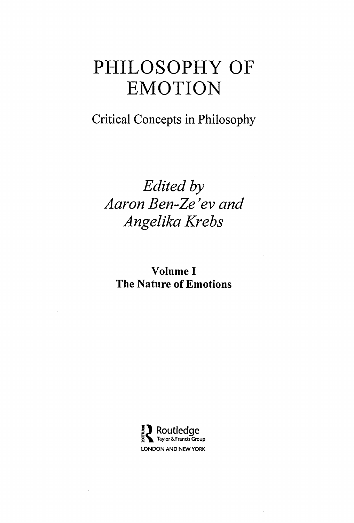#### Critical Concepts in Philosophy

### Edited by Aaron Ben-Ze 'ev and Angelika Krebs

Volume <sup>I</sup> The Nature of Emotions

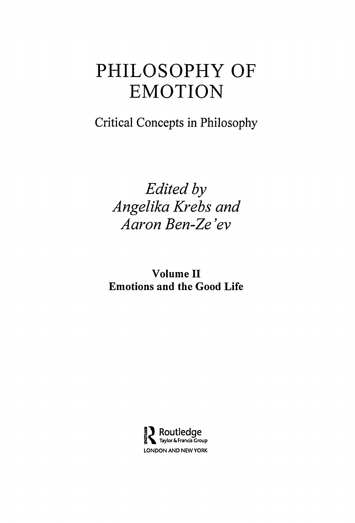Critical Concepts in Philosophy

Edited by Angelika Krebs and Aaron Ben-Ze 'ev

Volume II Emotions and the Good Life

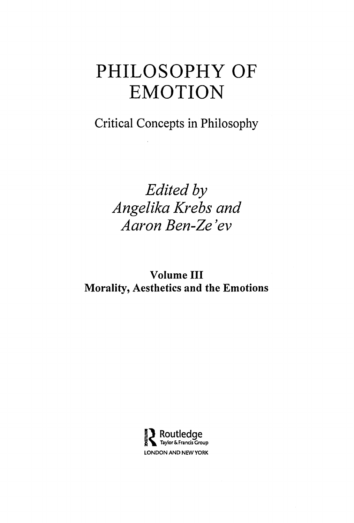Critical Concepts in Philosophy

Edited by Angelika Krebs and Aaron Ben-Ze 'ev

Volume III Morality, Aesthetics and the Emotions

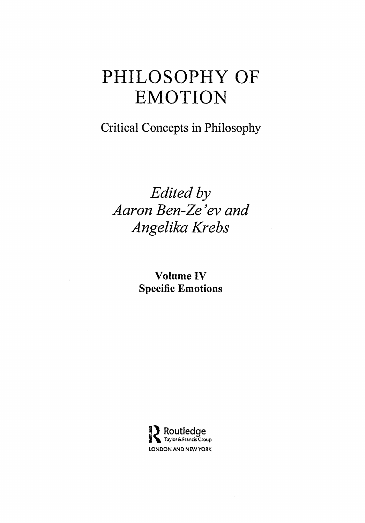Critical Concepts in Philosophy

### Edited by Aaron Ben-Ze 'ev and Angelika Krebs

Volume IV Specific Emotions

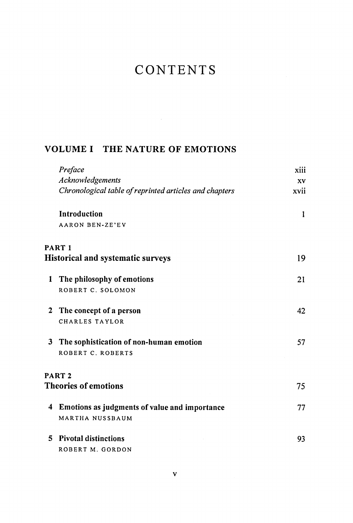#### CONTENTS

#### VOLUME <sup>I</sup> THE NATURE OF EMOTIONS

|    | Preface                                                | xiii |
|----|--------------------------------------------------------|------|
|    | Acknowledgements                                       | XV   |
|    | Chronological table of reprinted articles and chapters | xvii |
|    | Introduction                                           | 1    |
|    | <b>AARON BEN-ZE'EV</b>                                 |      |
|    | PART 1                                                 |      |
|    | <b>Historical and systematic surveys</b>               | 19   |
| 1  | The philosophy of emotions                             | 21   |
|    | ROBERT C. SOLOMON                                      |      |
| 2  | The concept of a person                                | 42   |
|    | <b>CHARLES TAYLOR</b>                                  |      |
| 3  | The sophistication of non-human emotion                | 57   |
|    | ROBERT C. ROBERTS                                      |      |
|    | PART <sub>2</sub>                                      |      |
|    | <b>Theories of emotions</b>                            | 75   |
| 4  | Emotions as judgments of value and importance          | 77   |
|    | MARTHA NUSSBAUM                                        |      |
| 5. | <b>Pivotal distinctions</b>                            | 93   |
|    | ROBERT M. GORDON                                       |      |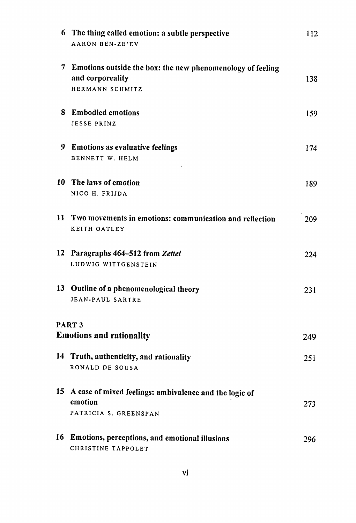| 6  | The thing called emotion: a subtle perspective<br><b>AARON BEN-ZE'EV</b>                            | 112  |
|----|-----------------------------------------------------------------------------------------------------|------|
|    | 7 Emotions outside the box: the new phenomenology of feeling<br>and corporeality<br>HERMANN SCHMITZ | 138  |
|    | 8 Embodied emotions<br><b>JESSE PRINZ</b>                                                           | 159  |
| 9. | <b>Emotions as evaluative feelings</b><br>BENNETT W. HELM                                           | 174  |
|    | 10 The laws of emotion<br>NICO H. FRIJDA                                                            | 189  |
| 11 | Two movements in emotions: communication and reflection<br>KEITH OATLEY                             | 209  |
| 12 | Paragraphs 464–512 from Zettel<br>LUDWIG WITTGENSTEIN                                               | 224  |
|    | 13 Outline of a phenomenological theory<br><b>JEAN-PAUL SARTRE</b>                                  | 231  |
|    | PART <sub>3</sub><br><b>Emotions and rationality</b>                                                | 249. |
| 14 | Truth, authenticity, and rationality<br>RONALD DE SOUSA                                             | 251  |
|    | 15 A case of mixed feelings: ambivalence and the logic of<br>emotion<br>PATRICIA S. GREENSPAN       | 273  |
| 16 | Emotions, perceptions, and emotional illusions<br>CHRISTINE TAPPOLET                                | 296  |

 $\sim 10^{-1}$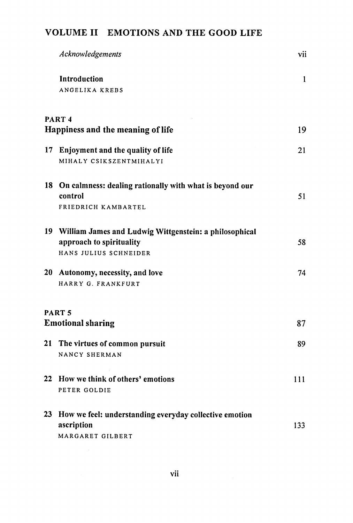#### VOLUME II EMOTIONS AND THE GOOD LIFE

|    | Acknowledgements                                           | vii |
|----|------------------------------------------------------------|-----|
|    | Introduction                                               | 1   |
|    | ANGELIKA KREBS                                             |     |
|    | PART <sub>4</sub>                                          |     |
|    | Happiness and the meaning of life                          | 19  |
| 17 | Enjoyment and the quality of life                          | 21  |
|    | MIHALY CSIKSZENTMIHALYI                                    |     |
|    | 18 On calmness: dealing rationally with what is beyond our |     |
|    | control                                                    | 51  |
|    | FRIEDRICH KAMBARTEL                                        |     |
|    | 19 William James and Ludwig Wittgenstein: a philosophical  |     |
|    | approach to spirituality                                   | 58  |
|    | HANS JULIUS SCHNEIDER                                      |     |
|    | 20 Autonomy, necessity, and love                           | 74  |
|    | HARRY G. FRANKFURT                                         |     |
|    | PART <sub>5</sub>                                          |     |
|    | <b>Emotional sharing</b>                                   | 87  |
| 21 | The virtues of common pursuit                              | 89  |
|    | NANCY SHERMAN                                              |     |
|    | 22 How we think of others' emotions                        | 111 |
|    | PETER GOLDIE                                               |     |
| 23 | How we feel: understanding everyday collective emotion     |     |
|    | ascription                                                 | 133 |
|    | MARGARET GILBERT                                           |     |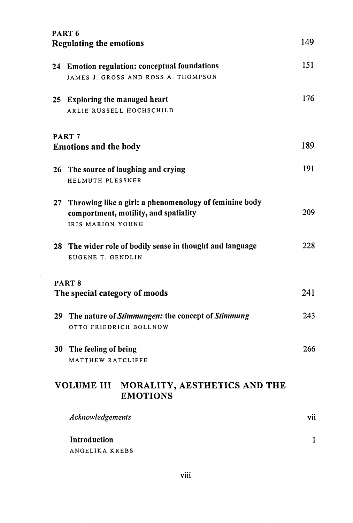| PART <sub>6</sub>                                          |
|------------------------------------------------------------|
| <b>Regulating the emotions</b>                             |
| 24 Emotion regulation: conceptual foundations              |
| JAMES J. GROSS AND ROSS A. THOMPSON                        |
| 25 Exploring the managed heart                             |
| ARLIE RUSSELL HOCHSCHILD                                   |
| PART <sub>7</sub>                                          |
| <b>Emotions and the body</b>                               |
| 26 The source of laughing and crying                       |
| HELMUTH PLESSNER                                           |
| 27 Throwing like a girl: a phenomenology of feminine body  |
| comportment, motility, and spatiality<br>IRIS MARION YOUNG |
|                                                            |
| 28 The wider role of bodily sense in thought and language  |
| EUGENE T. GENDLIN                                          |
| PART <sub>8</sub>                                          |
| The special category of moods                              |
| 29 The nature of Stimmungen: the concept of Stimmung       |
| OTTO FRIEDRICH BOLLNOW                                     |
|                                                            |
| 30 The feeling of being                                    |
| MATTHEW RATCLIFFE                                          |
| MORALITY, AESTHETICS AND THE<br>VOLUME III                 |
| <b>EMOTIONS</b>                                            |
| Acknowledgements                                           |
| Introduction                                               |

viii

 $\sim$   $\sim$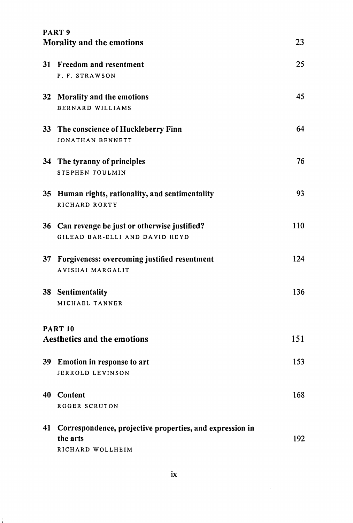|    | PART <sub>9</sub><br>Morality and the emotions           | 23  |
|----|----------------------------------------------------------|-----|
|    |                                                          |     |
|    | 31 Freedom and resentment                                | 25  |
|    | P. F. STRAWSON                                           |     |
|    | 32 Morality and the emotions                             | 45  |
|    | <b>BERNARD WILLIAMS</b>                                  |     |
|    | 33 The conscience of Huckleberry Finn                    | 64  |
|    | JONATHAN BENNETT                                         |     |
|    | 34 The tyranny of principles                             | 76  |
|    | STEPHEN TOULMIN                                          |     |
|    | 35 Human rights, rationality, and sentimentality         | 93  |
|    | RICHARD RORTY                                            |     |
|    | 36 Can revenge be just or otherwise justified?           | 110 |
|    | GILEAD BAR-ELLI AND DAVID HEYD                           |     |
|    | 37 Forgiveness: overcoming justified resentment          | 124 |
|    | <b>AVISHAI MARGALIT</b>                                  |     |
|    | 38 Sentimentality                                        | 136 |
|    | MICHAEL TANNER                                           |     |
|    | <b>PART 10</b>                                           |     |
|    | <b>Aesthetics and the emotions</b>                       | 151 |
|    |                                                          | 153 |
|    | 39 Emotion in response to art<br>JERROLD LEVINSON        |     |
|    |                                                          |     |
| 40 | Content                                                  | 168 |
|    | ROGER SCRUTON                                            |     |
| 41 | Correspondence, projective properties, and expression in |     |
|    | the arts                                                 | 192 |
|    | RICHARD WOLLHEIM                                         |     |

÷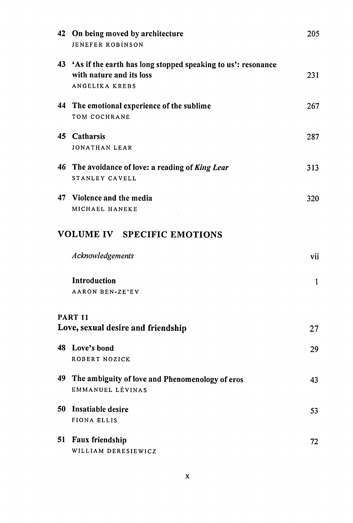| 42 | On being moved by architecture<br>JENEFER ROBINSON                                                                   | 205 |
|----|----------------------------------------------------------------------------------------------------------------------|-----|
|    | 43 'As if the earth has long stopped speaking to us': resonance<br>with nature and its loss<br><b>ANGELIKA KREBS</b> | 231 |
|    | 44 The emotional experience of the sublime<br>TOM COCHRANE                                                           | 267 |
|    | 45 Catharsis<br><b>JONATHAN LEAR</b>                                                                                 | 287 |
|    | 46 The avoidance of love: a reading of King Lear<br>STANLEY CAVELL                                                   | 313 |
|    | 47 Violence and the media<br>MICHAEL HANEKE                                                                          | 320 |
|    | <b>VOLUME IV SPECIFIC EMOTIONS</b>                                                                                   |     |
|    | Acknowledgements                                                                                                     | vii |
|    | <b>Introduction</b><br><b>AARON BEN-ZE'EV</b>                                                                        | 1   |
|    | <b>PART 11</b><br>Love, sexual desire and friendship                                                                 | 27  |
|    | 48 Love's bond<br>ROBERT NOZICK                                                                                      | 29  |
|    | 49 The ambiguity of love and Phenomenology of eros<br>EMMANUEL LÉVINAS                                               | 43  |
| 50 | Insatiable desire<br>FIONA ELLIS                                                                                     | 53  |
| 51 | Faux friendship<br>WILLIAM DERESIEWICZ                                                                               | 72  |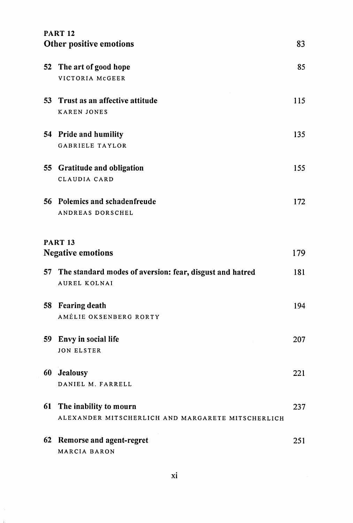|                         | <b>PART 12</b>                                                              |     |
|-------------------------|-----------------------------------------------------------------------------|-----|
| Other positive emotions |                                                                             | 83  |
| 52                      | The art of good hope<br>VICTORIA MCGEER                                     | 85  |
|                         | 53 Trust as an affective attitude<br><b>KAREN JONES</b>                     | 115 |
|                         | 54 Pride and humility<br>GABRIELE TAYLOR                                    | 135 |
|                         | 55 Gratitude and obligation<br>CLAUDIA CARD                                 | 155 |
|                         | 56 Polemics and schadenfreude<br>ANDREAS DORSCHEL                           | 172 |
|                         | <b>PART 13</b><br><b>Negative emotions</b>                                  | 179 |
| 57.                     | The standard modes of aversion: fear, disgust and hatred<br>AUREL KOLNAI    | 181 |
| 58                      | <b>Fearing death</b><br>AMÉLIE OKSENBERG RORTY                              | 194 |
| 59                      | Envy in social life<br>JON ELSTER                                           | 207 |
| 60                      | Jealousy<br>DANIEL M. FARRELL                                               | 221 |
| 61                      | The inability to mourn<br>ALEXANDER MITSCHERLICH AND MARGARETE MITSCHERLICH | 237 |
| 62                      | Remorse and agent-regret<br>MARCIA BARON                                    | 251 |